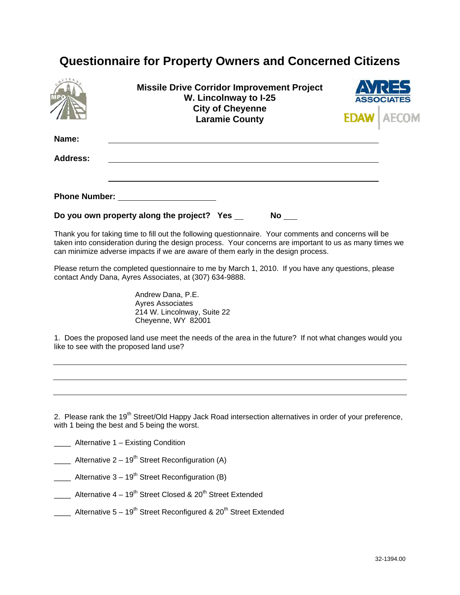## **Questionnaire for Property Owners and Concerned Citizens**

|                 | <b>Missile Drive Corridor Improvement Project</b><br>W. Lincolnway to I-25<br><b>City of Cheyenne</b><br><b>Laramie County</b>                                                                                                                                                                       | <b>ASSOCIATES</b> |
|-----------------|------------------------------------------------------------------------------------------------------------------------------------------------------------------------------------------------------------------------------------------------------------------------------------------------------|-------------------|
| Name:           |                                                                                                                                                                                                                                                                                                      |                   |
| <b>Address:</b> |                                                                                                                                                                                                                                                                                                      |                   |
|                 |                                                                                                                                                                                                                                                                                                      |                   |
|                 |                                                                                                                                                                                                                                                                                                      |                   |
|                 | Do you own property along the project? Yes __<br><b>No</b>                                                                                                                                                                                                                                           |                   |
|                 | Thank you for taking time to fill out the following questionnaire. Your comments and concerns will be<br>taken into consideration during the design process. Your concerns are important to us as many times we<br>can minimize adverse impacts if we are aware of them early in the design process. |                   |
|                 | Please return the completed questionnaire to me by March 1, 2010. If you have any questions, please<br>contact Andy Dana, Ayres Associates, at (307) 634-9888.                                                                                                                                       |                   |
|                 | Andrew Dana, P.E.<br><b>Ayres Associates</b>                                                                                                                                                                                                                                                         |                   |

 214 W. Lincolnway, Suite 22 Cheyenne, WY 82001

1. Does the proposed land use meet the needs of the area in the future? If not what changes would you like to see with the proposed land use?

2. Please rank the 19<sup>th</sup> Street/Old Happy Jack Road intersection alternatives in order of your preference, with 1 being the best and 5 being the worst.

- **\_\_\_\_** Alternative 1 Existing Condition
- **\_\_\_\_** Alternative  $2 19^{th}$  Street Reconfiguration (A)
- Alternative 3 19<sup>th</sup> Street Reconfiguration (B)
- \_\_\_\_ Alternative  $4 19^{th}$  Street Closed &  $20^{th}$  Street Extended
- **\_\_\_\_** Alternative  $5 19^{th}$  Street Reconfigured &  $20^{th}$  Street Extended